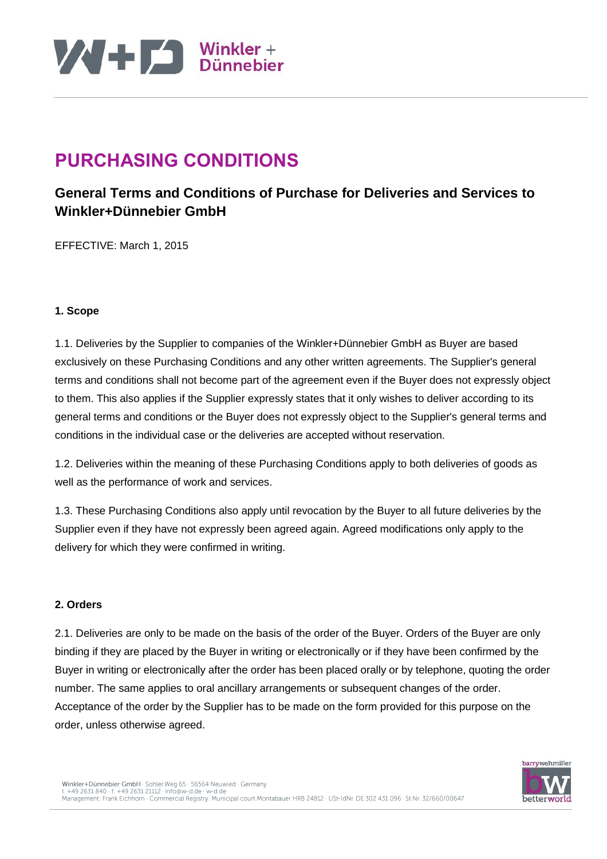

### **PURCHASING CONDITIONS**

### **General Terms and Conditions of Purchase for Deliveries and Services to Winkler+Dünnebier GmbH**

EFFECTIVE: March 1, 2015

#### **1. Scope**

1.1. Deliveries by the Supplier to companies of the Winkler+Dünnebier GmbH as Buyer are based exclusively on these Purchasing Conditions and any other written agreements. The Supplier's general terms and conditions shall not become part of the agreement even if the Buyer does not expressly object to them. This also applies if the Supplier expressly states that it only wishes to deliver according to its general terms and conditions or the Buyer does not expressly object to the Supplier's general terms and conditions in the individual case or the deliveries are accepted without reservation.

1.2. Deliveries within the meaning of these Purchasing Conditions apply to both deliveries of goods as well as the performance of work and services.

1.3. These Purchasing Conditions also apply until revocation by the Buyer to all future deliveries by the Supplier even if they have not expressly been agreed again. Agreed modifications only apply to the delivery for which they were confirmed in writing.

#### **2. Orders**

2.1. Deliveries are only to be made on the basis of the order of the Buyer. Orders of the Buyer are only binding if they are placed by the Buyer in writing or electronically or if they have been confirmed by the Buyer in writing or electronically after the order has been placed orally or by telephone, quoting the order number. The same applies to oral ancillary arrangements or subsequent changes of the order. Acceptance of the order by the Supplier has to be made on the form provided for this purpose on the order, unless otherwise agreed.

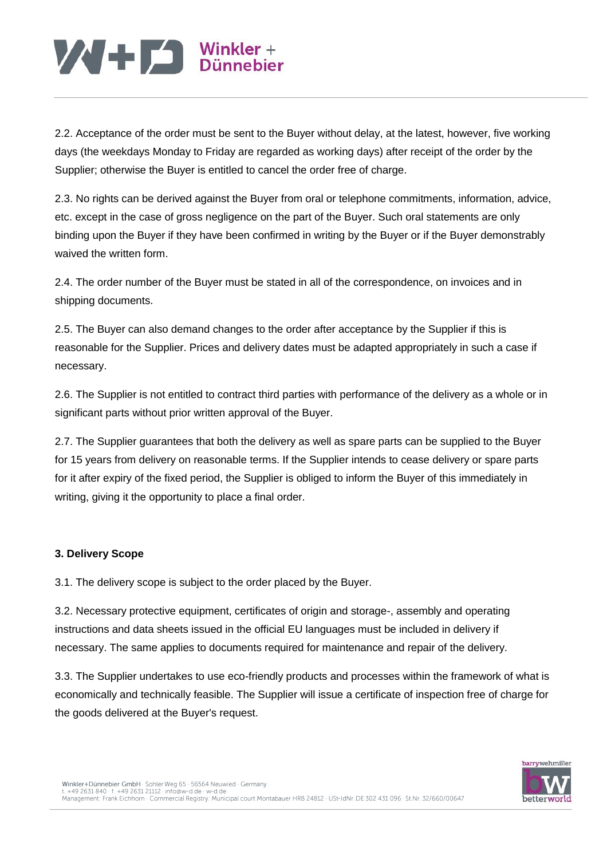# $\mathbf{W}$  +  $\mathbf{L}$  Winkler +

2.2. Acceptance of the order must be sent to the Buyer without delay, at the latest, however, five working days (the weekdays Monday to Friday are regarded as working days) after receipt of the order by the Supplier; otherwise the Buyer is entitled to cancel the order free of charge.

2.3. No rights can be derived against the Buyer from oral or telephone commitments, information, advice, etc. except in the case of gross negligence on the part of the Buyer. Such oral statements are only binding upon the Buyer if they have been confirmed in writing by the Buyer or if the Buyer demonstrably waived the written form.

2.4. The order number of the Buyer must be stated in all of the correspondence, on invoices and in shipping documents.

2.5. The Buyer can also demand changes to the order after acceptance by the Supplier if this is reasonable for the Supplier. Prices and delivery dates must be adapted appropriately in such a case if necessary.

2.6. The Supplier is not entitled to contract third parties with performance of the delivery as a whole or in significant parts without prior written approval of the Buyer.

2.7. The Supplier guarantees that both the delivery as well as spare parts can be supplied to the Buyer for 15 years from delivery on reasonable terms. If the Supplier intends to cease delivery or spare parts for it after expiry of the fixed period, the Supplier is obliged to inform the Buyer of this immediately in writing, giving it the opportunity to place a final order.

### **3. Delivery Scope**

3.1. The delivery scope is subject to the order placed by the Buyer.

3.2. Necessary protective equipment, certificates of origin and storage-, assembly and operating instructions and data sheets issued in the official EU languages must be included in delivery if necessary. The same applies to documents required for maintenance and repair of the delivery.

3.3. The Supplier undertakes to use eco-friendly products and processes within the framework of what is economically and technically feasible. The Supplier will issue a certificate of inspection free of charge for the goods delivered at the Buyer's request.

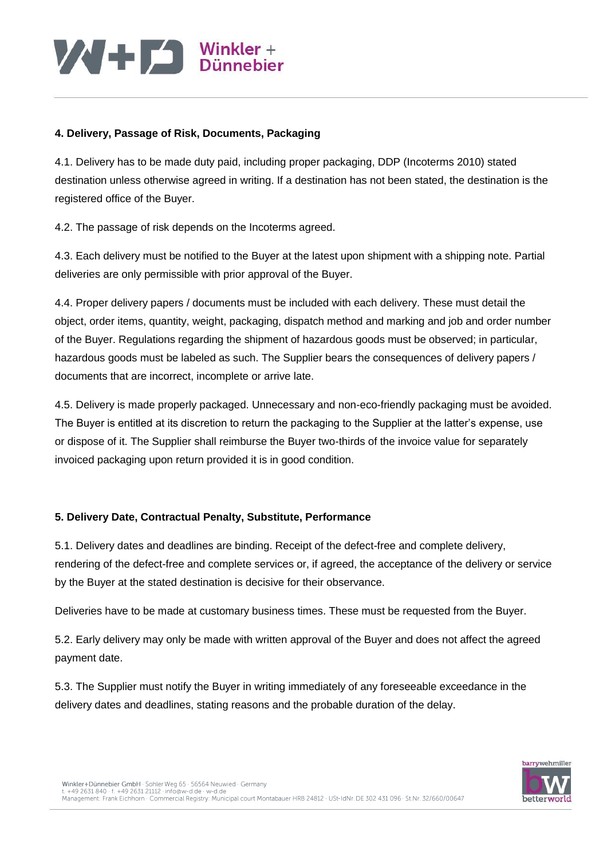#### **4. Delivery, Passage of Risk, Documents, Packaging**

4.1. Delivery has to be made duty paid, including proper packaging, DDP (Incoterms 2010) stated destination unless otherwise agreed in writing. If a destination has not been stated, the destination is the registered office of the Buyer.

4.2. The passage of risk depends on the Incoterms agreed.

4.3. Each delivery must be notified to the Buyer at the latest upon shipment with a shipping note. Partial deliveries are only permissible with prior approval of the Buyer.

4.4. Proper delivery papers / documents must be included with each delivery. These must detail the object, order items, quantity, weight, packaging, dispatch method and marking and job and order number of the Buyer. Regulations regarding the shipment of hazardous goods must be observed; in particular, hazardous goods must be labeled as such. The Supplier bears the consequences of delivery papers / documents that are incorrect, incomplete or arrive late.

4.5. Delivery is made properly packaged. Unnecessary and non-eco-friendly packaging must be avoided. The Buyer is entitled at its discretion to return the packaging to the Supplier at the latter's expense, use or dispose of it. The Supplier shall reimburse the Buyer two-thirds of the invoice value for separately invoiced packaging upon return provided it is in good condition.

### **5. Delivery Date, Contractual Penalty, Substitute, Performance**

5.1. Delivery dates and deadlines are binding. Receipt of the defect-free and complete delivery, rendering of the defect-free and complete services or, if agreed, the acceptance of the delivery or service by the Buyer at the stated destination is decisive for their observance.

Deliveries have to be made at customary business times. These must be requested from the Buyer.

5.2. Early delivery may only be made with written approval of the Buyer and does not affect the agreed payment date.

5.3. The Supplier must notify the Buyer in writing immediately of any foreseeable exceedance in the delivery dates and deadlines, stating reasons and the probable duration of the delay.

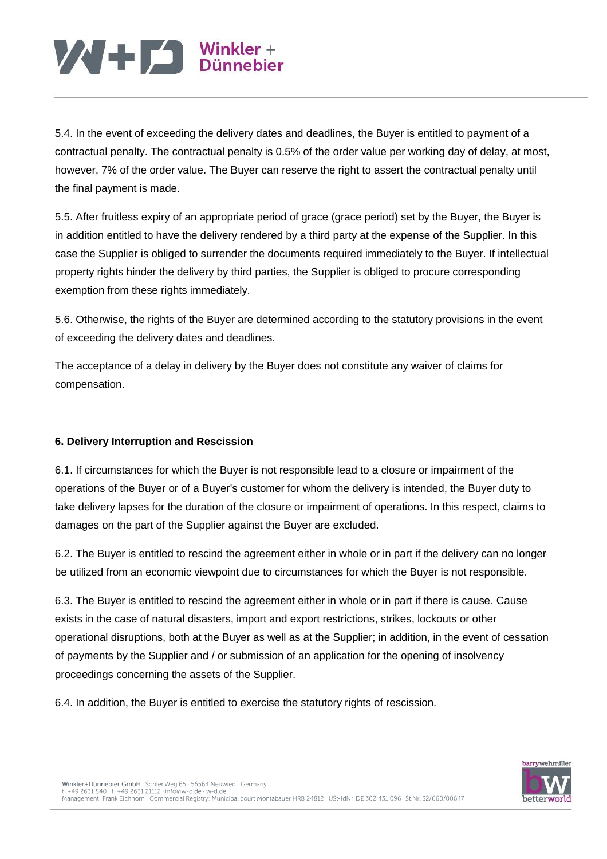5.4. In the event of exceeding the delivery dates and deadlines, the Buyer is entitled to payment of a contractual penalty. The contractual penalty is 0.5% of the order value per working day of delay, at most, however, 7% of the order value. The Buyer can reserve the right to assert the contractual penalty until the final payment is made.

5.5. After fruitless expiry of an appropriate period of grace (grace period) set by the Buyer, the Buyer is in addition entitled to have the delivery rendered by a third party at the expense of the Supplier. In this case the Supplier is obliged to surrender the documents required immediately to the Buyer. If intellectual property rights hinder the delivery by third parties, the Supplier is obliged to procure corresponding exemption from these rights immediately.

5.6. Otherwise, the rights of the Buyer are determined according to the statutory provisions in the event of exceeding the delivery dates and deadlines.

The acceptance of a delay in delivery by the Buyer does not constitute any waiver of claims for compensation.

### **6. Delivery Interruption and Rescission**

6.1. If circumstances for which the Buyer is not responsible lead to a closure or impairment of the operations of the Buyer or of a Buyer's customer for whom the delivery is intended, the Buyer duty to take delivery lapses for the duration of the closure or impairment of operations. In this respect, claims to damages on the part of the Supplier against the Buyer are excluded.

6.2. The Buyer is entitled to rescind the agreement either in whole or in part if the delivery can no longer be utilized from an economic viewpoint due to circumstances for which the Buyer is not responsible.

6.3. The Buyer is entitled to rescind the agreement either in whole or in part if there is cause. Cause exists in the case of natural disasters, import and export restrictions, strikes, lockouts or other operational disruptions, both at the Buyer as well as at the Supplier; in addition, in the event of cessation of payments by the Supplier and / or submission of an application for the opening of insolvency proceedings concerning the assets of the Supplier.

6.4. In addition, the Buyer is entitled to exercise the statutory rights of rescission.

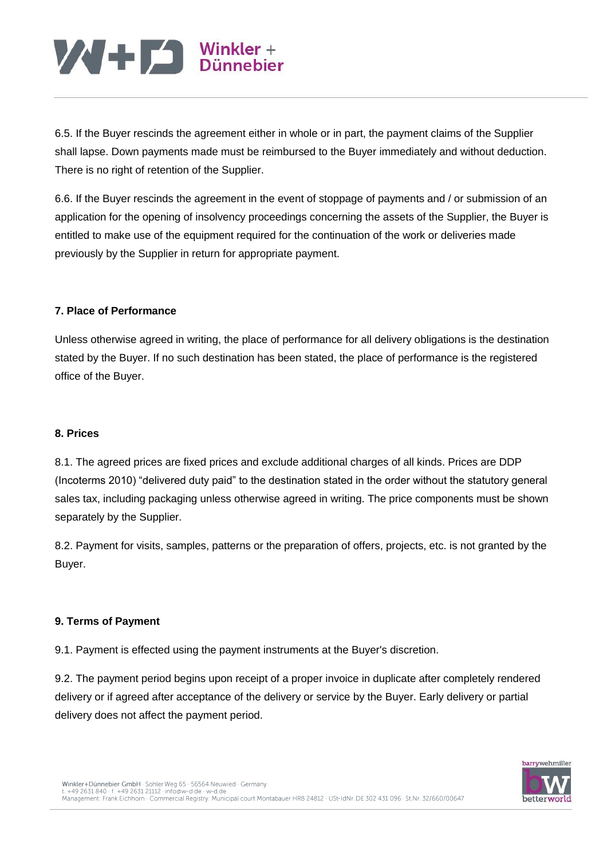6.5. If the Buyer rescinds the agreement either in whole or in part, the payment claims of the Supplier shall lapse. Down payments made must be reimbursed to the Buyer immediately and without deduction. There is no right of retention of the Supplier.

6.6. If the Buyer rescinds the agreement in the event of stoppage of payments and / or submission of an application for the opening of insolvency proceedings concerning the assets of the Supplier, the Buyer is entitled to make use of the equipment required for the continuation of the work or deliveries made previously by the Supplier in return for appropriate payment.

#### **7. Place of Performance**

Unless otherwise agreed in writing, the place of performance for all delivery obligations is the destination stated by the Buyer. If no such destination has been stated, the place of performance is the registered office of the Buyer.

#### **8. Prices**

8.1. The agreed prices are fixed prices and exclude additional charges of all kinds. Prices are DDP (Incoterms 2010) "delivered duty paid" to the destination stated in the order without the statutory general sales tax, including packaging unless otherwise agreed in writing. The price components must be shown separately by the Supplier.

8.2. Payment for visits, samples, patterns or the preparation of offers, projects, etc. is not granted by the Buyer.

### **9. Terms of Payment**

9.1. Payment is effected using the payment instruments at the Buyer's discretion.

9.2. The payment period begins upon receipt of a proper invoice in duplicate after completely rendered delivery or if agreed after acceptance of the delivery or service by the Buyer. Early delivery or partial delivery does not affect the payment period.

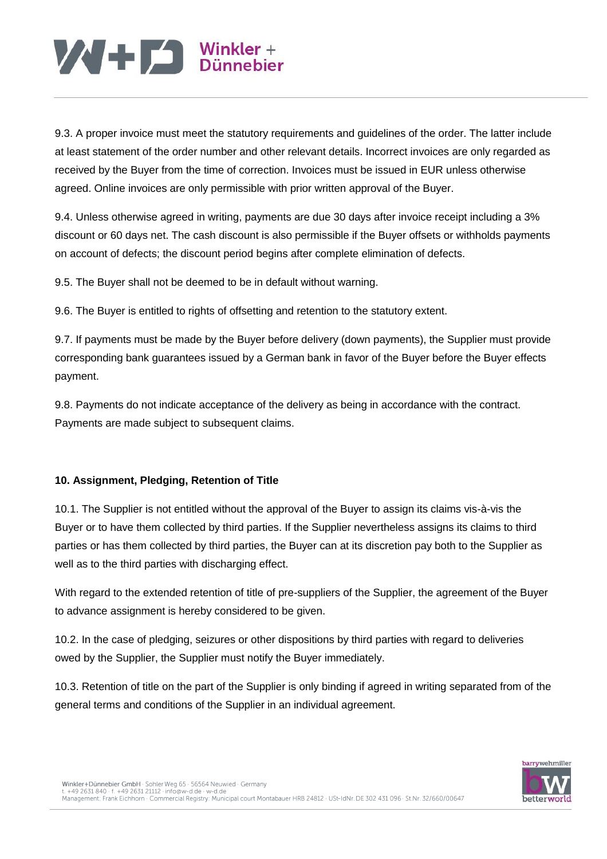9.3. A proper invoice must meet the statutory requirements and guidelines of the order. The latter include at least statement of the order number and other relevant details. Incorrect invoices are only regarded as received by the Buyer from the time of correction. Invoices must be issued in EUR unless otherwise agreed. Online invoices are only permissible with prior written approval of the Buyer.

9.4. Unless otherwise agreed in writing, payments are due 30 days after invoice receipt including a 3% discount or 60 days net. The cash discount is also permissible if the Buyer offsets or withholds payments on account of defects; the discount period begins after complete elimination of defects.

9.5. The Buyer shall not be deemed to be in default without warning.

9.6. The Buyer is entitled to rights of offsetting and retention to the statutory extent.

9.7. If payments must be made by the Buyer before delivery (down payments), the Supplier must provide corresponding bank guarantees issued by a German bank in favor of the Buyer before the Buyer effects payment.

9.8. Payments do not indicate acceptance of the delivery as being in accordance with the contract. Payments are made subject to subsequent claims.

### **10. Assignment, Pledging, Retention of Title**

10.1. The Supplier is not entitled without the approval of the Buyer to assign its claims vis-à-vis the Buyer or to have them collected by third parties. If the Supplier nevertheless assigns its claims to third parties or has them collected by third parties, the Buyer can at its discretion pay both to the Supplier as well as to the third parties with discharging effect.

With regard to the extended retention of title of pre-suppliers of the Supplier, the agreement of the Buyer to advance assignment is hereby considered to be given.

10.2. In the case of pledging, seizures or other dispositions by third parties with regard to deliveries owed by the Supplier, the Supplier must notify the Buyer immediately.

10.3. Retention of title on the part of the Supplier is only binding if agreed in writing separated from of the general terms and conditions of the Supplier in an individual agreement.

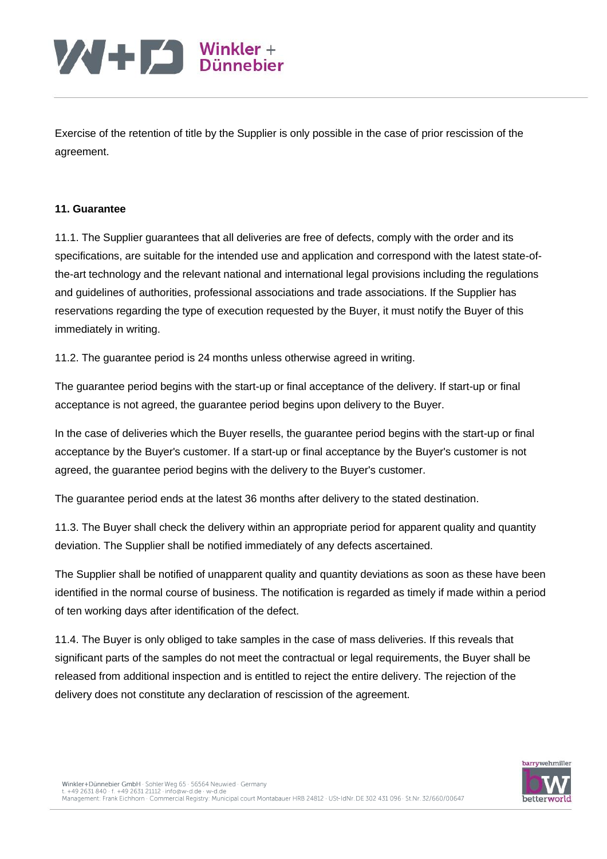Exercise of the retention of title by the Supplier is only possible in the case of prior rescission of the agreement.

#### **11. Guarantee**

11.1. The Supplier guarantees that all deliveries are free of defects, comply with the order and its specifications, are suitable for the intended use and application and correspond with the latest state-ofthe-art technology and the relevant national and international legal provisions including the regulations and guidelines of authorities, professional associations and trade associations. If the Supplier has reservations regarding the type of execution requested by the Buyer, it must notify the Buyer of this immediately in writing.

11.2. The guarantee period is 24 months unless otherwise agreed in writing.

The guarantee period begins with the start-up or final acceptance of the delivery. If start-up or final acceptance is not agreed, the guarantee period begins upon delivery to the Buyer.

In the case of deliveries which the Buyer resells, the guarantee period begins with the start-up or final acceptance by the Buyer's customer. If a start-up or final acceptance by the Buyer's customer is not agreed, the guarantee period begins with the delivery to the Buyer's customer.

The guarantee period ends at the latest 36 months after delivery to the stated destination.

11.3. The Buyer shall check the delivery within an appropriate period for apparent quality and quantity deviation. The Supplier shall be notified immediately of any defects ascertained.

The Supplier shall be notified of unapparent quality and quantity deviations as soon as these have been identified in the normal course of business. The notification is regarded as timely if made within a period of ten working days after identification of the defect.

11.4. The Buyer is only obliged to take samples in the case of mass deliveries. If this reveals that significant parts of the samples do not meet the contractual or legal requirements, the Buyer shall be released from additional inspection and is entitled to reject the entire delivery. The rejection of the delivery does not constitute any declaration of rescission of the agreement.

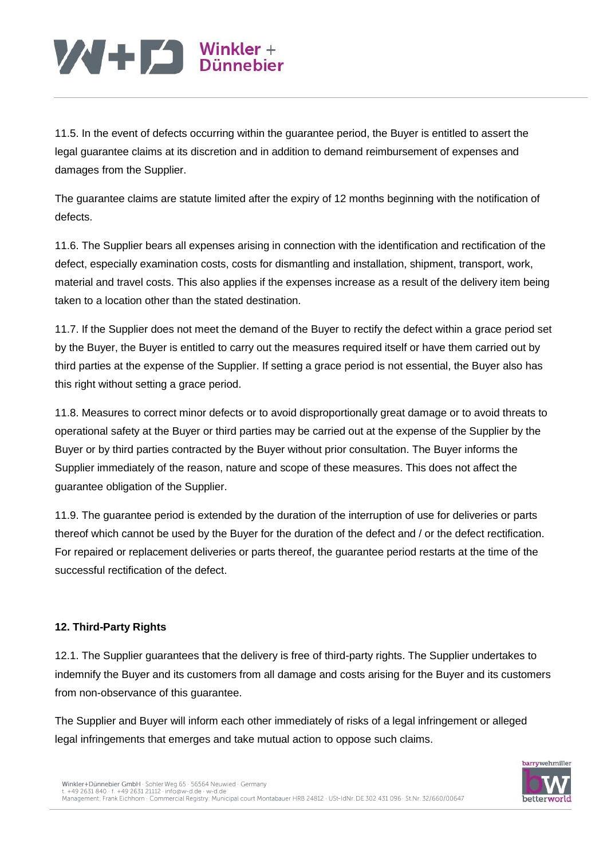11.5. In the event of defects occurring within the guarantee period, the Buyer is entitled to assert the legal guarantee claims at its discretion and in addition to demand reimbursement of expenses and damages from the Supplier.

The guarantee claims are statute limited after the expiry of 12 months beginning with the notification of defects.

11.6. The Supplier bears all expenses arising in connection with the identification and rectification of the defect, especially examination costs, costs for dismantling and installation, shipment, transport, work, material and travel costs. This also applies if the expenses increase as a result of the delivery item being taken to a location other than the stated destination.

11.7. If the Supplier does not meet the demand of the Buyer to rectify the defect within a grace period set by the Buyer, the Buyer is entitled to carry out the measures required itself or have them carried out by third parties at the expense of the Supplier. If setting a grace period is not essential, the Buyer also has this right without setting a grace period.

11.8. Measures to correct minor defects or to avoid disproportionally great damage or to avoid threats to operational safety at the Buyer or third parties may be carried out at the expense of the Supplier by the Buyer or by third parties contracted by the Buyer without prior consultation. The Buyer informs the Supplier immediately of the reason, nature and scope of these measures. This does not affect the guarantee obligation of the Supplier.

11.9. The guarantee period is extended by the duration of the interruption of use for deliveries or parts thereof which cannot be used by the Buyer for the duration of the defect and / or the defect rectification. For repaired or replacement deliveries or parts thereof, the guarantee period restarts at the time of the successful rectification of the defect.

### **12. Third-Party Rights**

12.1. The Supplier guarantees that the delivery is free of third-party rights. The Supplier undertakes to indemnify the Buyer and its customers from all damage and costs arising for the Buyer and its customers from non-observance of this guarantee.

The Supplier and Buyer will inform each other immediately of risks of a legal infringement or alleged legal infringements that emerges and take mutual action to oppose such claims.

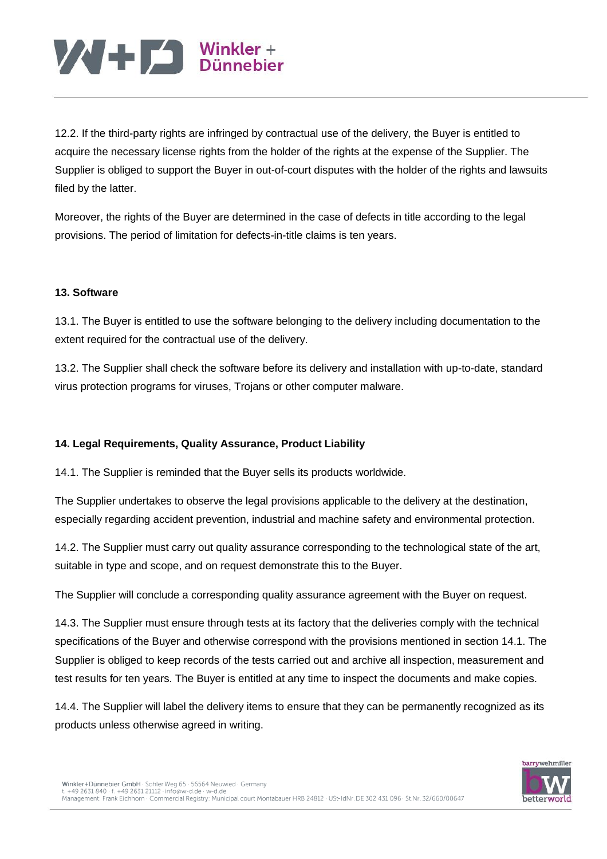12.2. If the third-party rights are infringed by contractual use of the delivery, the Buyer is entitled to acquire the necessary license rights from the holder of the rights at the expense of the Supplier. The Supplier is obliged to support the Buyer in out-of-court disputes with the holder of the rights and lawsuits filed by the latter.

Moreover, the rights of the Buyer are determined in the case of defects in title according to the legal provisions. The period of limitation for defects-in-title claims is ten years.

#### **13. Software**

13.1. The Buyer is entitled to use the software belonging to the delivery including documentation to the extent required for the contractual use of the delivery.

13.2. The Supplier shall check the software before its delivery and installation with up-to-date, standard virus protection programs for viruses, Trojans or other computer malware.

#### **14. Legal Requirements, Quality Assurance, Product Liability**

14.1. The Supplier is reminded that the Buyer sells its products worldwide.

The Supplier undertakes to observe the legal provisions applicable to the delivery at the destination, especially regarding accident prevention, industrial and machine safety and environmental protection.

14.2. The Supplier must carry out quality assurance corresponding to the technological state of the art, suitable in type and scope, and on request demonstrate this to the Buyer.

The Supplier will conclude a corresponding quality assurance agreement with the Buyer on request.

14.3. The Supplier must ensure through tests at its factory that the deliveries comply with the technical specifications of the Buyer and otherwise correspond with the provisions mentioned in section 14.1. The Supplier is obliged to keep records of the tests carried out and archive all inspection, measurement and test results for ten years. The Buyer is entitled at any time to inspect the documents and make copies.

14.4. The Supplier will label the delivery items to ensure that they can be permanently recognized as its products unless otherwise agreed in writing.

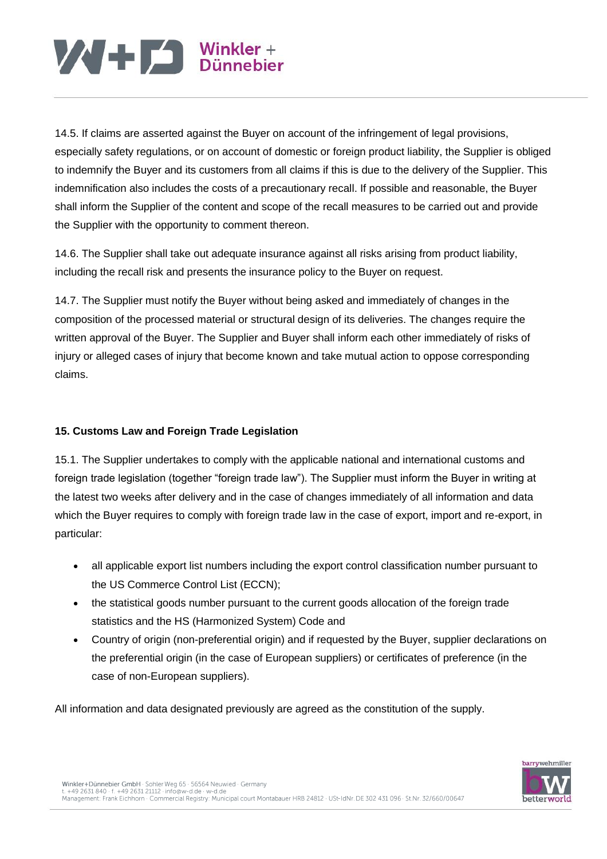14.5. If claims are asserted against the Buyer on account of the infringement of legal provisions, especially safety regulations, or on account of domestic or foreign product liability, the Supplier is obliged to indemnify the Buyer and its customers from all claims if this is due to the delivery of the Supplier. This indemnification also includes the costs of a precautionary recall. If possible and reasonable, the Buyer shall inform the Supplier of the content and scope of the recall measures to be carried out and provide the Supplier with the opportunity to comment thereon.

14.6. The Supplier shall take out adequate insurance against all risks arising from product liability, including the recall risk and presents the insurance policy to the Buyer on request.

14.7. The Supplier must notify the Buyer without being asked and immediately of changes in the composition of the processed material or structural design of its deliveries. The changes require the written approval of the Buyer. The Supplier and Buyer shall inform each other immediately of risks of injury or alleged cases of injury that become known and take mutual action to oppose corresponding claims.

### **15. Customs Law and Foreign Trade Legislation**

15.1. The Supplier undertakes to comply with the applicable national and international customs and foreign trade legislation (together "foreign trade law"). The Supplier must inform the Buyer in writing at the latest two weeks after delivery and in the case of changes immediately of all information and data which the Buyer requires to comply with foreign trade law in the case of export, import and re-export, in particular:

- all applicable export list numbers including the export control classification number pursuant to the US Commerce Control List (ECCN);
- the statistical goods number pursuant to the current goods allocation of the foreign trade statistics and the HS (Harmonized System) Code and
- Country of origin (non-preferential origin) and if requested by the Buyer, supplier declarations on the preferential origin (in the case of European suppliers) or certificates of preference (in the case of non-European suppliers).

All information and data designated previously are agreed as the constitution of the supply.

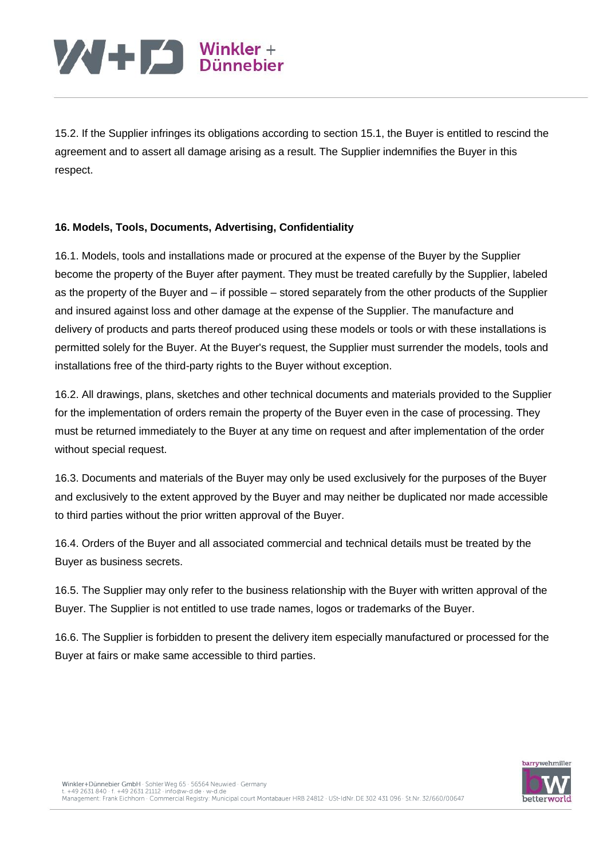15.2. If the Supplier infringes its obligations according to section 15.1, the Buyer is entitled to rescind the agreement and to assert all damage arising as a result. The Supplier indemnifies the Buyer in this respect.

### **16. Models, Tools, Documents, Advertising, Confidentiality**

16.1. Models, tools and installations made or procured at the expense of the Buyer by the Supplier become the property of the Buyer after payment. They must be treated carefully by the Supplier, labeled as the property of the Buyer and – if possible – stored separately from the other products of the Supplier and insured against loss and other damage at the expense of the Supplier. The manufacture and delivery of products and parts thereof produced using these models or tools or with these installations is permitted solely for the Buyer. At the Buyer's request, the Supplier must surrender the models, tools and installations free of the third-party rights to the Buyer without exception.

16.2. All drawings, plans, sketches and other technical documents and materials provided to the Supplier for the implementation of orders remain the property of the Buyer even in the case of processing. They must be returned immediately to the Buyer at any time on request and after implementation of the order without special request.

16.3. Documents and materials of the Buyer may only be used exclusively for the purposes of the Buyer and exclusively to the extent approved by the Buyer and may neither be duplicated nor made accessible to third parties without the prior written approval of the Buyer.

16.4. Orders of the Buyer and all associated commercial and technical details must be treated by the Buyer as business secrets.

16.5. The Supplier may only refer to the business relationship with the Buyer with written approval of the Buyer. The Supplier is not entitled to use trade names, logos or trademarks of the Buyer.

16.6. The Supplier is forbidden to present the delivery item especially manufactured or processed for the Buyer at fairs or make same accessible to third parties.